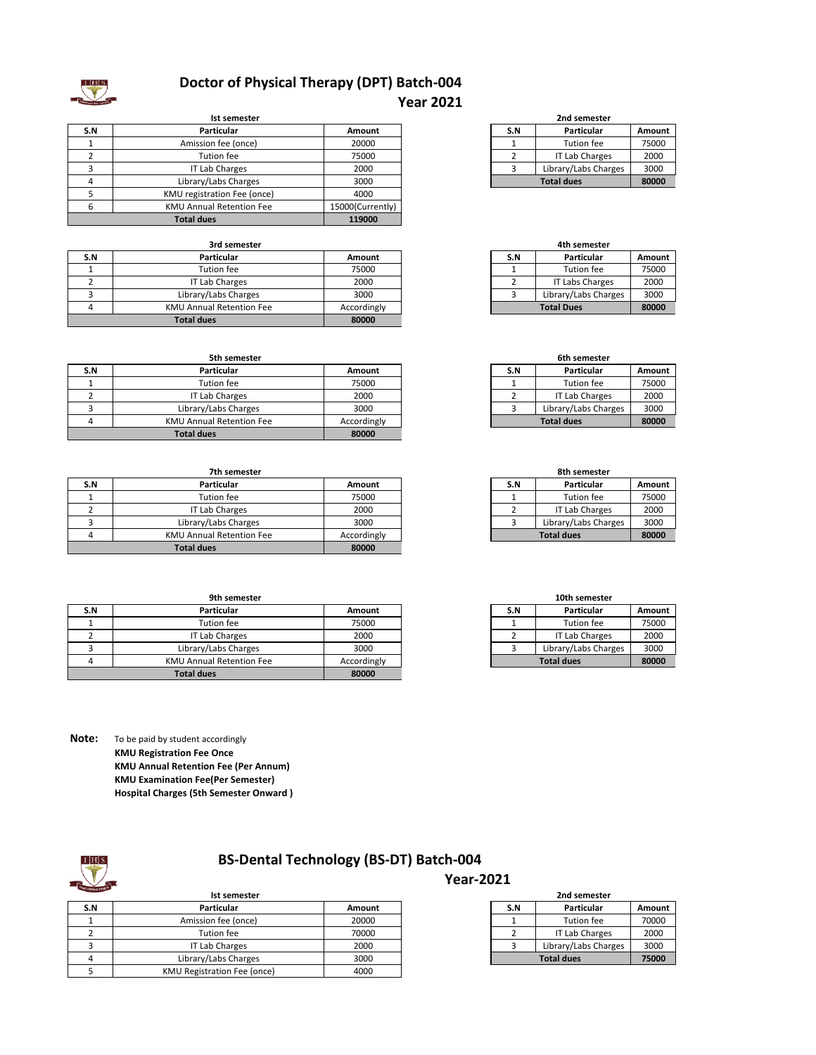

### **Doctor of Physical Therapy (DPT) Batch-004 Year 2021**

|     | <b>Ist semester</b>             |                  |     | 2nd semester         |        |
|-----|---------------------------------|------------------|-----|----------------------|--------|
| S.N | <b>Particular</b>               | Amount           | S.N | Particular           | Amount |
|     | Amission fee (once)             | 20000            |     | Tution fee           | 75000  |
|     | Tution fee                      | 75000            |     | IT Lab Charges       | 2000   |
|     | IT Lab Charges                  | 2000             |     | Library/Labs Charges | 3000   |
|     | Library/Labs Charges            | 3000             |     | <b>Total dues</b>    | 80000  |
|     | KMU registration Fee (once)     | 4000             |     |                      |        |
|     | <b>KMU Annual Retention Fee</b> | 15000(Currently) |     |                      |        |
|     | <b>Total dues</b>               | 119000           |     |                      |        |

| 3rd semester |                                 |             |     | 4th semester         |        |
|--------------|---------------------------------|-------------|-----|----------------------|--------|
| S.N          | <b>Particular</b>               | Amount      | S.N | Particular           | Amount |
|              | Tution fee                      | 75000       |     | Tution fee           | 75000  |
|              | IT Lab Charges                  | 2000        |     | IT Labs Charges      | 2000   |
|              | Library/Labs Charges            | 3000        |     | Library/Labs Charges | 3000   |
|              | <b>KMU Annual Retention Fee</b> | Accordingly |     | <b>Total Dues</b>    | 80000  |
|              | <b>Total dues</b>               | 80000       |     |                      |        |

### **S.N Particular Amount S.N Particular Amount** 1 | Tution fee | 75000 | 1 | Tution fee | 75000 2 IT Lab Charges 2000 3 Library/Labs Charges 3000 4 KMU Annual Retention Fee Accordingly **80000 5th semester**<br>**Particular Total dues**

| 7th semester |                                 |             | 8th semester |                      |        |
|--------------|---------------------------------|-------------|--------------|----------------------|--------|
| S.N          | <b>Particular</b>               | Amount      | S.N          | Particular           | Amount |
|              | Tution fee                      | 75000       |              | Tution fee           | 75000  |
|              | IT Lab Charges                  | 2000        |              | IT Lab Charges       | 2000   |
|              | Library/Labs Charges            | 3000        |              | Library/Labs Charges | 3000   |
|              | <b>KMU Annual Retention Fee</b> | Accordingly |              | <b>Total dues</b>    | 80000  |
|              | <b>Total dues</b>               | 80000       |              |                      |        |

| 9th semester |                                 |             | 10th semester |                      |        |
|--------------|---------------------------------|-------------|---------------|----------------------|--------|
| S.N          | <b>Particular</b>               | Amount      | S.N           | Particular           | Amount |
|              | Tution fee                      | 75000       |               | Tution fee           | 75000  |
|              | IT Lab Charges                  | 2000        |               | IT Lab Charges       | 2000   |
|              | Library/Labs Charges            | 3000        |               | Library/Labs Charges | 3000   |
|              | <b>KMU Annual Retention Fee</b> | Accordingly |               | <b>Total dues</b>    | 80000  |
|              | <b>Total dues</b>               | 80000       |               |                      |        |

**Note:** To be paid by student accordingly **KMU Registration Fee Once KMU Annual Retention Fee (Per Annum) KMU Examination Fee(Per Semester) Hospital Charges (5th Semester Onward )**

# **BS-Dental Technology (BS-DT) Batch-004**

### **S.N Particular Amount S.N Particular Amount** 1 1 Amission fee (once) 20000<br>2 Tution fee 70000 2 Tution fee 70000 2 IT Lab Charges 2000 3 IT Lab Charges 2000 4 Library/Labs Charges 3000 5 KMU Registration Fee (once) 4000 **IST SE SERVIS 200 SET SERVIS 200 SERVIS 200 SERVIS 200 SERVIS 200 SERVIS 200 SERVIS 200 SERVIS 200 SERVIS 200 SERVIS 200 SERVIS 200 SERVIS 200 SERVIS 200 SERVIS 200 SERVIS 200 SERVIS 200 SERVIS 200 SERVIS 200 SERVIS 200 S**

| -------------- |                       |        |  |
|----------------|-----------------------|--------|--|
| S.N            | Particular            | Amount |  |
|                | Tution fee            | 75000  |  |
|                | <b>IT Lab Charges</b> | 2000   |  |
|                | Library/Labs Charges  | 3000   |  |
|                | 80000                 |        |  |

| 4th semester |                        |        |  |
|--------------|------------------------|--------|--|
| S.N          | Particular             | Amount |  |
|              | Tution fee             | 75000  |  |
|              | <b>IT Labs Charges</b> | 2000   |  |
|              | Library/Labs Charges   | 3000   |  |
|              | 80000                  |        |  |

| 6th semester |                            |        |  |
|--------------|----------------------------|--------|--|
| S.N          | Particular                 | Amount |  |
|              | Tution fee                 | 75000  |  |
|              | <b>IT Lab Charges</b>      | 2000   |  |
|              | Library/Labs Charges       | 3000   |  |
|              | <b>Total dues</b><br>80000 |        |  |

| 8th semester |                            |        |  |  |
|--------------|----------------------------|--------|--|--|
| S.N          | Particular                 | Amount |  |  |
|              | <b>Tution fee</b>          | 75000  |  |  |
|              | <b>IT Lab Charges</b>      | 2000   |  |  |
|              | Library/Labs Charges       | 3000   |  |  |
|              | <b>Total dues</b><br>80000 |        |  |  |

| 10th semester |                            |        |  |
|---------------|----------------------------|--------|--|
| S.N           | Particular                 | Amount |  |
|               | Tution fee                 | 75000  |  |
|               | <b>IT Lab Charges</b>      | 2000   |  |
|               | Library/Labs Charges       | 3000   |  |
|               | <b>Total dues</b><br>80000 |        |  |

| 2nd semester               |                       |        |  |
|----------------------------|-----------------------|--------|--|
| S.N                        | Particular            | Amount |  |
|                            | Tution fee            | 70000  |  |
|                            | <b>IT Lab Charges</b> | 2000   |  |
| ิว                         | Library/Labs Charges  | 3000   |  |
| 75000<br><b>Total dues</b> |                       |        |  |

**Year-2021**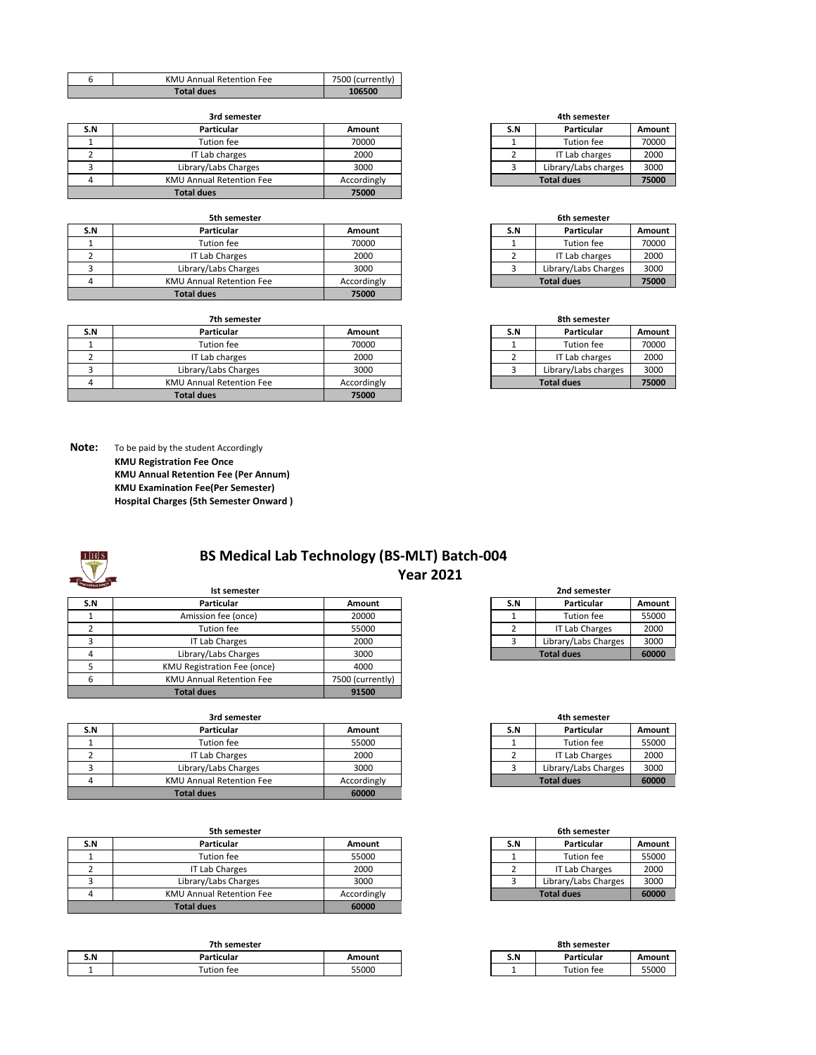| <b>KMU Annual Retention Fee</b> | 7500 (currently) |
|---------------------------------|------------------|
| <b>Total dues</b>               | 106500           |

|  | 3rd semester |
|--|--------------|

| S.N | <b>Particular</b>               | Amount      | S.N               | Particular           | Amount |
|-----|---------------------------------|-------------|-------------------|----------------------|--------|
|     | Tution fee                      | 70000       |                   | Tution fee           | 70000  |
|     | IT Lab charges                  | 2000        |                   | IT Lab charges       | 2000   |
|     | Library/Labs Charges            | 3000        |                   | Library/Labs charges | 3000   |
|     | <b>KMU Annual Retention Fee</b> | Accordingly | <b>Total dues</b> |                      | 75000  |
|     | <b>Total dues</b>               | 75000       |                   |                      |        |

|     | 5th semester                    |             |  | 6th semester |                      |        |
|-----|---------------------------------|-------------|--|--------------|----------------------|--------|
| S.N | <b>Particular</b>               | Amount      |  | S.N          | Particular           | Amount |
|     | Tution fee                      | 70000       |  |              | Tution fee           | 70000  |
|     | IT Lab Charges                  | 2000        |  |              | IT Lab charges       | 2000   |
|     | Library/Labs Charges            | 3000        |  |              | Library/Labs Charges | 3000   |
|     | <b>KMU Annual Retention Fee</b> | Accordingly |  |              | <b>Total dues</b>    | 75000  |
|     | Total dues                      | 75000       |  |              |                      |        |

| 7th semester |                                 |             |     | 8th semester         |        |
|--------------|---------------------------------|-------------|-----|----------------------|--------|
| S.N          | <b>Particular</b>               | Amount      | S.N | Particular           | Amount |
|              | Tution fee                      | 70000       |     | Tution fee           | 70000  |
|              | IT Lab charges                  | 2000        |     | IT Lab charges       | 2000   |
|              | Library/Labs Charges            | 3000        |     | Library/Labs charges | 3000   |
|              | <b>KMU Annual Retention Fee</b> | Accordingly |     | <b>Total dues</b>    | 75000  |
|              | <b>Total dues</b>               | 75000       |     |                      |        |

**3rd semester 4th semester**

| S.N | Particular           | Amount |
|-----|----------------------|--------|
|     | Tution fee           | 70000  |
|     | IT Lab charges       | 2000   |
|     | Library/Labs charges | 3000   |
|     | 75000                |        |

## 2 IT Lab charges 2000<br>3 Library/Labs Charges 3000 3 Library/Labs Charges **5th semester 6th semester Total dues**

| 8th semester |                      |        |  |  |  |
|--------------|----------------------|--------|--|--|--|
| S.N          | Particular           | Amount |  |  |  |
|              | Tution fee           | 70000  |  |  |  |
|              | IT Lab charges       | 2000   |  |  |  |
| ર            | Library/Labs charges | 3000   |  |  |  |
|              | 75000                |        |  |  |  |

**Note:** To be paid by the student Accordingly **KMU Registration Fee Once KMU Annual Retention Fee (Per Annum) KMU Examination Fee(Per Semester) Hospital Charges (5th Semester Onward )**

| <b>NOVATING!</b> |  |
|------------------|--|

### **DES BS Medical Lab Technology (BS-MLT) Batch-004 Year 2021**

|     | Ist semester                    |                  | 2nd semester |                      |        |
|-----|---------------------------------|------------------|--------------|----------------------|--------|
| S.N | <b>Particular</b>               | Amount           | S.N          | Particular           | Amount |
|     | Amission fee (once)             | 20000            |              | Tution fee           | 55000  |
|     | Tution fee                      | 55000            |              | IT Lab Charges       | 2000   |
|     | IT Lab Charges                  | 2000             |              | Library/Labs Charges | 3000   |
|     | Library/Labs Charges            | 3000             |              | <b>Total dues</b>    | 60000  |
|     | KMU Registration Fee (once)     | 4000             |              |                      |        |
| 6   | <b>KMU Annual Retention Fee</b> | 7500 (currently) |              |                      |        |
|     | <b>Total dues</b>               | 91500            |              |                      |        |

| 3rd semester |                          |             |     | 4th semester         |        |
|--------------|--------------------------|-------------|-----|----------------------|--------|
| S.N          | <b>Particular</b>        | Amount      | S.N | Particular           | Amount |
|              | Tution fee               | 55000       |     | Tution fee           | 55000  |
|              | IT Lab Charges           | 2000        |     | IT Lab Charges       | 2000   |
|              | Library/Labs Charges     | 3000        |     | Library/Labs Charges | 3000   |
|              | KMU Annual Retention Fee | Accordingly |     | <b>Total dues</b>    | 60000  |
|              | <b>Total dues</b>        | 60000       |     |                      |        |

| 5th semester |                                 |             |     | 6th semester         |        |
|--------------|---------------------------------|-------------|-----|----------------------|--------|
| S.N          | Particular                      | Amount      | S.N | Particular           | Amount |
|              | Tution fee                      | 55000       |     | Tution fee           | 55000  |
|              | IT Lab Charges                  | 2000        |     | IT Lab Charges       | 2000   |
|              | Library/Labs Charges            | 3000        |     | Library/Labs Charges | 3000   |
|              | <b>KMU Annual Retention Fee</b> | Accordingly |     | <b>Total dues</b>    | 60000  |
|              | <b>Total dues</b>               | 60000       |     |                      |        |

|     | 7th semester |        | 8th semester |            |        |
|-----|--------------|--------|--------------|------------|--------|
| S.N | Particular   | Amount | S.N          | Particular | Amount |
|     | Tution fee   | 55000  |              | Tution fee | 55000  |

| 2nd semester |                       |        |  |  |  |
|--------------|-----------------------|--------|--|--|--|
| S.N          | Particular            | Amount |  |  |  |
|              | Tution fee            | 55000  |  |  |  |
|              | <b>IT Lab Charges</b> | 2000   |  |  |  |
|              | Library/Labs Charges  | 3000   |  |  |  |
|              | 60000                 |        |  |  |  |

| 4th semester |                       |        |  |  |  |
|--------------|-----------------------|--------|--|--|--|
| S.N          | Particular            | Amount |  |  |  |
|              | Tution fee            | 55000  |  |  |  |
|              | <b>IT Lab Charges</b> | 2000   |  |  |  |
|              | Library/Labs Charges  | 3000   |  |  |  |
|              | 60000                 |        |  |  |  |

| 6th semester |                       |        |  |  |
|--------------|-----------------------|--------|--|--|
| S.N          | Particular            | Amount |  |  |
|              | Tution fee            | 55000  |  |  |
|              | <b>IT Lab Charges</b> | 2000   |  |  |
|              | Library/Labs Charges  | 3000   |  |  |
|              | 60000                 |        |  |  |

|     | 8th semester |        |
|-----|--------------|--------|
| S.N | Particular   | Amount |
|     | Tution fee   | 55000  |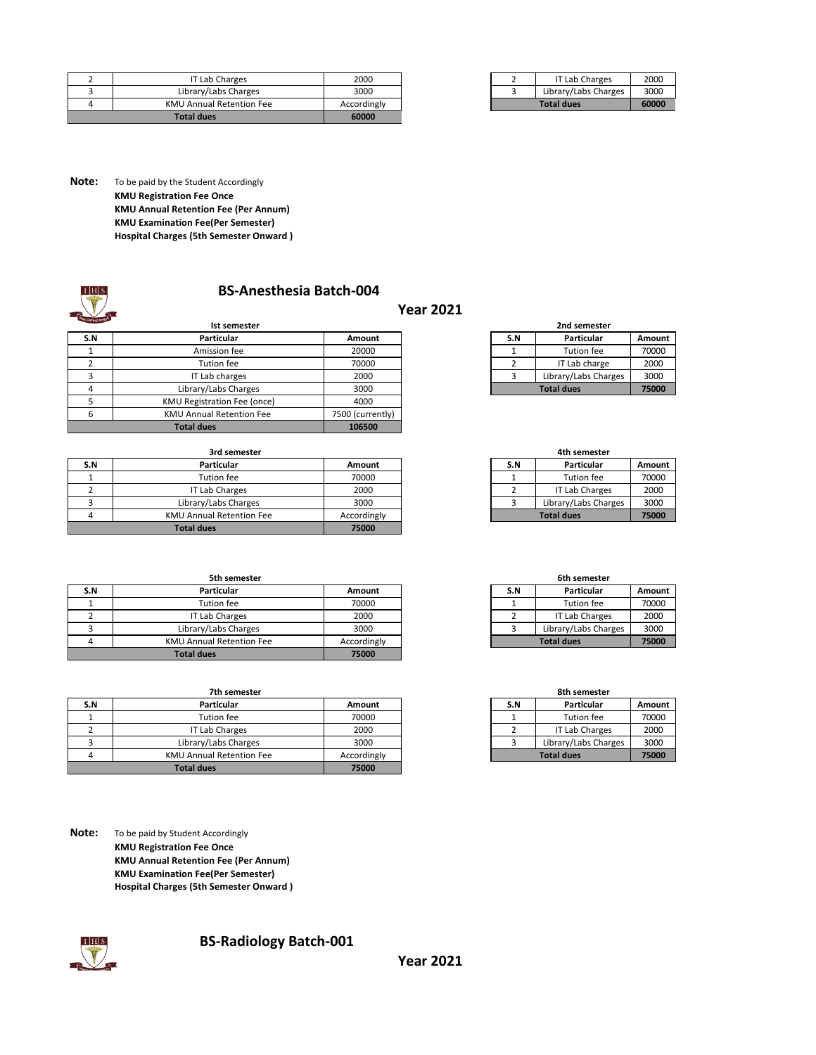| <b>Total dues</b>               | 60000       |  |                       |       |
|---------------------------------|-------------|--|-----------------------|-------|
| <b>KMU Annual Retention Fee</b> | Accordingly |  | <b>Total dues</b>     | 60000 |
| Library/Labs Charges            | 3000        |  | Library/Labs Charges  | 3000  |
| IT Lab Charges                  | 2000        |  | <b>IT Lab Charges</b> | 2000  |

|                   | <b>IT Lab Charges</b> | 2000  |
|-------------------|-----------------------|-------|
|                   | Library/Labs Charges  | 3000  |
| <b>Total dues</b> |                       | 60000 |

**Note:** To be paid by the Student Accordingly **KMU Registration Fee Once KMU Annual Retention Fee (Per Annum) KMU Examination Fee(Per Semester) Hospital Charges (5th Semester Onward )**

### **BS-Anesthesia Batch-004**

|     |                                 |                  | IEAI ZUZI |     |                      |        |
|-----|---------------------------------|------------------|-----------|-----|----------------------|--------|
|     | Ist semester                    |                  |           |     | 2nd semester         |        |
| S.N | <b>Particular</b>               | Amount           |           | S.N | Particular           | Amount |
|     | Amission fee                    | 20000            |           |     | <b>Tution fee</b>    | 70000  |
|     | Tution fee                      | 70000            |           |     | IT Lab charge        | 2000   |
|     | IT Lab charges                  | 2000             |           |     | Library/Labs Charges | 3000   |
| 4   | Library/Labs Charges            | 3000             |           |     | <b>Total dues</b>    | 75000  |
|     | KMU Registration Fee (once)     | 4000             |           |     |                      |        |
| 6   | <b>KMU Annual Retention Fee</b> | 7500 (currently) |           |     |                      |        |
|     | <b>Total dues</b>               | 106500           |           |     |                      |        |

| 3rd semester |                                 |             |     | 4th semester         |        |
|--------------|---------------------------------|-------------|-----|----------------------|--------|
| S.N          | Particular                      | Amount      | S.N | Particular           | Amount |
|              | Tution fee                      | 70000       |     | Tution fee           | 70000  |
|              | IT Lab Charges                  | 2000        |     | IT Lab Charges       | 2000   |
|              | Library/Labs Charges            | 3000        |     | Library/Labs Charges | 3000   |
|              | <b>KMU Annual Retention Fee</b> | Accordingly |     | <b>Total dues</b>    | 75000  |
|              | <b>Total dues</b>               | 75000       |     |                      |        |

|     | 5th semester                    |             |     | 6th semester         |        |
|-----|---------------------------------|-------------|-----|----------------------|--------|
| S.N | Particular                      | Amount      | S.N | Particular           | Amount |
|     | Tution fee                      | 70000       |     | Tution fee           | 70000  |
|     | IT Lab Charges                  | 2000        |     | IT Lab Charges       | 2000   |
|     | Library/Labs Charges            | 3000        |     | Library/Labs Charges | 3000   |
|     | <b>KMU Annual Retention Fee</b> | Accordingly |     | <b>Total dues</b>    | 75000  |
|     | <b>Total dues</b>               | 75000       |     |                      |        |

| 7th semester |                                 |             |     | 8th semester         |        |
|--------------|---------------------------------|-------------|-----|----------------------|--------|
| S.N          | <b>Particular</b>               | Amount      | S.N | Particular           | Amount |
|              | Tution fee                      | 70000       |     | Tution fee           | 70000  |
|              | IT Lab Charges                  | 2000        |     | IT Lab Charges       | 2000   |
|              | Library/Labs Charges            | 3000        |     | Library/Labs Charges | 3000   |
|              | <b>KMU Annual Retention Fee</b> | Accordingly |     | <b>Total dues</b>    | 75000  |
|              | <b>Total dues</b>               | 75000       |     |                      |        |

**Note:** To be paid by Student Accordingly **KMU Registration Fee Once KMU Annual Retention Fee (Per Annum) KMU Examination Fee(Per Semester) Hospital Charges (5th Semester Onward )**



### **DEB** BS-Radiology Batch-001

| 2nd semester      |                      |        |  |  |
|-------------------|----------------------|--------|--|--|
| S.N               | Particular           | Amount |  |  |
|                   | Tution fee           | 70000  |  |  |
|                   | IT Lab charge        | 2000   |  |  |
|                   | Library/Labs Charges | 3000   |  |  |
| <b>Total dues</b> |                      | 75000  |  |  |

| 4th semester |                       |       |  |  |
|--------------|-----------------------|-------|--|--|
| S.N          | Amount                |       |  |  |
|              | <b>Tution fee</b>     | 70000 |  |  |
|              | <b>IT Lab Charges</b> | 2000  |  |  |
| ٦            | Library/Labs Charges  | 3000  |  |  |
|              | 75000                 |       |  |  |

| 6th semester |                       |        |  |
|--------------|-----------------------|--------|--|
| S.N          | Particular            | Amount |  |
|              | Tution fee            | 70000  |  |
|              | <b>IT Lab Charges</b> | 2000   |  |
|              | Library/Labs Charges  | 3000   |  |
|              | 75000                 |        |  |

| 8th semester      |                       |        |  |
|-------------------|-----------------------|--------|--|
| S.N               | Particular            | Amount |  |
|                   | Tution fee            | 70000  |  |
|                   | <b>IT Lab Charges</b> | 2000   |  |
|                   | 3000                  |        |  |
| <b>Total dues</b> |                       | 75000  |  |